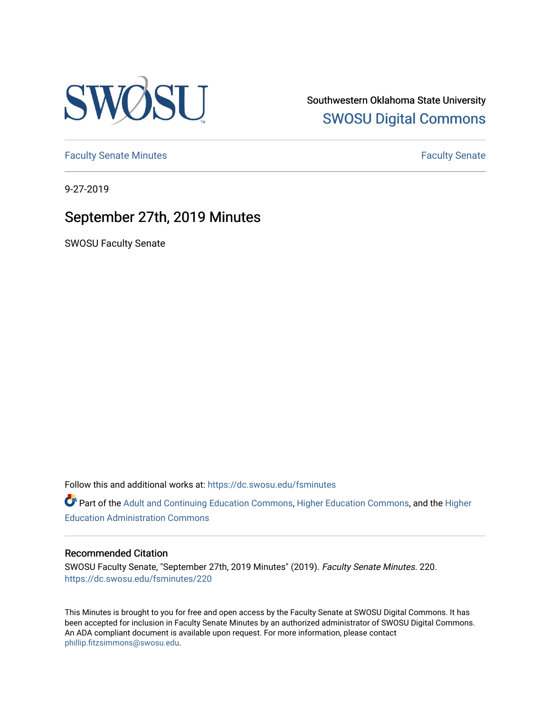

Southwestern Oklahoma State University [SWOSU Digital Commons](https://dc.swosu.edu/) 

[Faculty Senate Minutes](https://dc.swosu.edu/fsminutes) **Faculty** Senate Minutes

9-27-2019

## September 27th, 2019 Minutes

SWOSU Faculty Senate

Follow this and additional works at: [https://dc.swosu.edu/fsminutes](https://dc.swosu.edu/fsminutes?utm_source=dc.swosu.edu%2Ffsminutes%2F220&utm_medium=PDF&utm_campaign=PDFCoverPages) 

Part of the [Adult and Continuing Education Commons,](http://network.bepress.com/hgg/discipline/1375?utm_source=dc.swosu.edu%2Ffsminutes%2F220&utm_medium=PDF&utm_campaign=PDFCoverPages) [Higher Education Commons,](http://network.bepress.com/hgg/discipline/1245?utm_source=dc.swosu.edu%2Ffsminutes%2F220&utm_medium=PDF&utm_campaign=PDFCoverPages) and the [Higher](http://network.bepress.com/hgg/discipline/791?utm_source=dc.swosu.edu%2Ffsminutes%2F220&utm_medium=PDF&utm_campaign=PDFCoverPages) [Education Administration Commons](http://network.bepress.com/hgg/discipline/791?utm_source=dc.swosu.edu%2Ffsminutes%2F220&utm_medium=PDF&utm_campaign=PDFCoverPages) 

#### Recommended Citation

SWOSU Faculty Senate, "September 27th, 2019 Minutes" (2019). Faculty Senate Minutes. 220. [https://dc.swosu.edu/fsminutes/220](https://dc.swosu.edu/fsminutes/220?utm_source=dc.swosu.edu%2Ffsminutes%2F220&utm_medium=PDF&utm_campaign=PDFCoverPages) 

This Minutes is brought to you for free and open access by the Faculty Senate at SWOSU Digital Commons. It has been accepted for inclusion in Faculty Senate Minutes by an authorized administrator of SWOSU Digital Commons. An ADA compliant document is available upon request. For more information, please contact [phillip.fitzsimmons@swosu.edu](mailto:phillip.fitzsimmons@swosu.edu).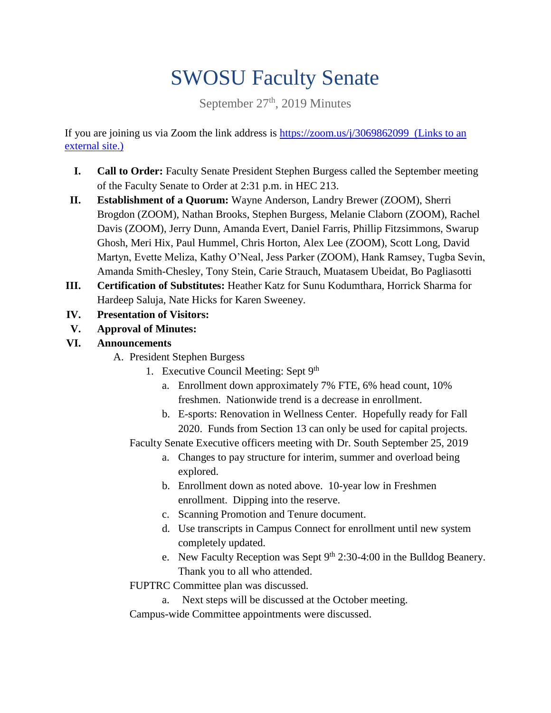# SWOSU Faculty Senate

September 27<sup>th</sup>, 2019 Minutes

If you are joining us via Zoom the link address is<https://zoom.us/j/3069862099> (Links to an [external site.\)](https://zoom.us/j/3069862099)

- **I. Call to Order:** Faculty Senate President Stephen Burgess called the September meeting of the Faculty Senate to Order at 2:31 p.m. in HEC 213.
- **II. Establishment of a Quorum:** Wayne Anderson, Landry Brewer (ZOOM), Sherri Brogdon (ZOOM), Nathan Brooks, Stephen Burgess, Melanie Claborn (ZOOM), Rachel Davis (ZOOM), Jerry Dunn, Amanda Evert, Daniel Farris, Phillip Fitzsimmons, Swarup Ghosh, Meri Hix, Paul Hummel, Chris Horton, Alex Lee (ZOOM), Scott Long, David Martyn, Evette Meliza, Kathy O'Neal, Jess Parker (ZOOM), Hank Ramsey, Tugba Sevin, Amanda Smith-Chesley, Tony Stein, Carie Strauch, Muatasem Ubeidat, Bo Pagliasotti
- **III. Certification of Substitutes:** Heather Katz for Sunu Kodumthara, Horrick Sharma for Hardeep Saluja, Nate Hicks for Karen Sweeney.
- **IV. Presentation of Visitors:**
- **V. Approval of Minutes:**
- **VI. Announcements**
	- A. President Stephen Burgess
		- 1. Executive Council Meeting: Sept 9<sup>th</sup>
			- a. Enrollment down approximately 7% FTE, 6% head count, 10% freshmen. Nationwide trend is a decrease in enrollment.
			- b. E-sports: Renovation in Wellness Center. Hopefully ready for Fall 2020. Funds from Section 13 can only be used for capital projects.

Faculty Senate Executive officers meeting with Dr. South September 25, 2019

- a. Changes to pay structure for interim, summer and overload being explored.
- b. Enrollment down as noted above. 10-year low in Freshmen enrollment. Dipping into the reserve.
- c. Scanning Promotion and Tenure document.
- d. Use transcripts in Campus Connect for enrollment until new system completely updated.
- e. New Faculty Reception was Sept  $9<sup>th</sup> 2:30-4:00$  in the Bulldog Beanery. Thank you to all who attended.
- FUPTRC Committee plan was discussed.
	- a. Next steps will be discussed at the October meeting.

Campus-wide Committee appointments were discussed.